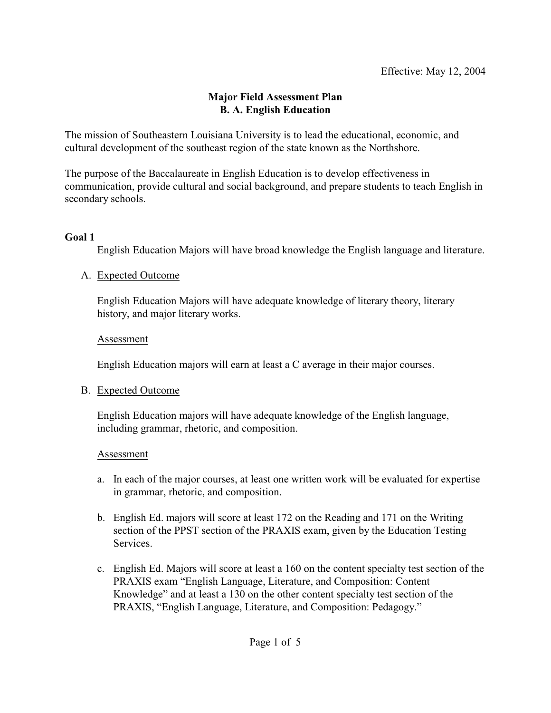## **Major Field Assessment Plan B. A. English Education**

The mission of Southeastern Louisiana University is to lead the educational, economic, and cultural development of the southeast region of the state known as the Northshore.

The purpose of the Baccalaureate in English Education is to develop effectiveness in communication, provide cultural and social background, and prepare students to teach English in secondary schools.

#### **Goal 1**

English Education Majors will have broad knowledge the English language and literature.

## A. Expected Outcome

English Education Majors will have adequate knowledge of literary theory, literary history, and major literary works.

## Assessment

English Education majors will earn at least a C average in their major courses.

## B. Expected Outcome

English Education majors will have adequate knowledge of the English language, including grammar, rhetoric, and composition.

## Assessment

- a. In each of the major courses, at least one written work will be evaluated for expertise in grammar, rhetoric, and composition.
- b. English Ed. majors will score at least 172 on the Reading and 171 on the Writing section of the PPST section of the PRAXIS exam, given by the Education Testing Services.
- c. English Ed. Majors will score at least a 160 on the content specialty test section of the PRAXIS exam "English Language, Literature, and Composition: Content Knowledge" and at least a 130 on the other content specialty test section of the PRAXIS, "English Language, Literature, and Composition: Pedagogy."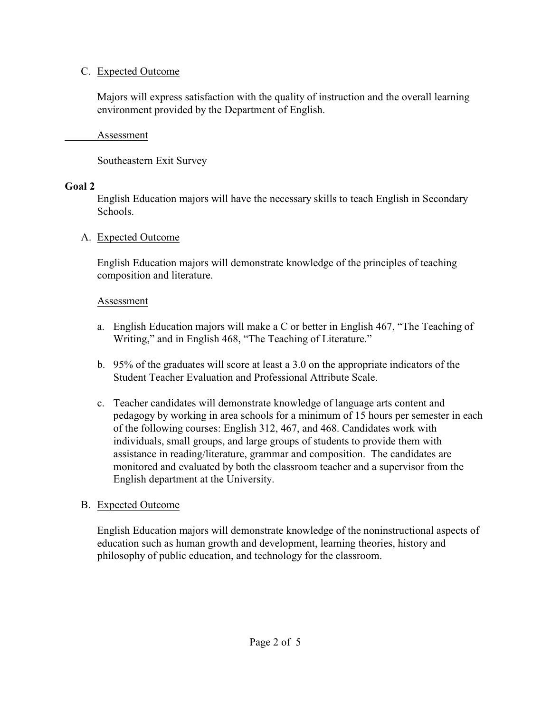## C. Expected Outcome

Majors will express satisfaction with the quality of instruction and the overall learning environment provided by the Department of English.

Assessment

Southeastern Exit Survey

# **Goal 2**

English Education majors will have the necessary skills to teach English in Secondary Schools.

# A. Expected Outcome

English Education majors will demonstrate knowledge of the principles of teaching composition and literature.

# Assessment

- a. English Education majors will make a C or better in English 467, "The Teaching of Writing," and in English 468, "The Teaching of Literature."
- b. 95% of the graduates will score at least a 3.0 on the appropriate indicators of the Student Teacher Evaluation and Professional Attribute Scale.
- c. Teacher candidates will demonstrate knowledge of language arts content and pedagogy by working in area schools for a minimum of 15 hours per semester in each of the following courses: English 312, 467, and 468. Candidates work with individuals, small groups, and large groups of students to provide them with assistance in reading/literature, grammar and composition. The candidates are monitored and evaluated by both the classroom teacher and a supervisor from the English department at the University.

# B. Expected Outcome

English Education majors will demonstrate knowledge of the noninstructional aspects of education such as human growth and development, learning theories, history and philosophy of public education, and technology for the classroom.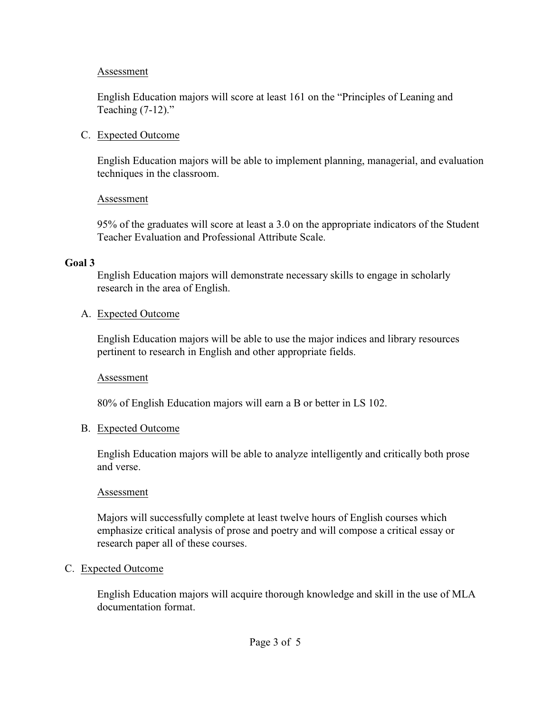#### Assessment

English Education majors will score at least 161 on the "Principles of Leaning and Teaching  $(7-12)$ ."

#### C. Expected Outcome

English Education majors will be able to implement planning, managerial, and evaluation techniques in the classroom.

#### Assessment

95% of the graduates will score at least a 3.0 on the appropriate indicators of the Student Teacher Evaluation and Professional Attribute Scale.

## **Goal 3**

English Education majors will demonstrate necessary skills to engage in scholarly research in the area of English.

#### A. Expected Outcome

English Education majors will be able to use the major indices and library resources pertinent to research in English and other appropriate fields.

#### Assessment

80% of English Education majors will earn a B or better in LS 102.

## B. Expected Outcome

English Education majors will be able to analyze intelligently and critically both prose and verse.

## Assessment

Majors will successfully complete at least twelve hours of English courses which emphasize critical analysis of prose and poetry and will compose a critical essay or research paper all of these courses.

## C. Expected Outcome

English Education majors will acquire thorough knowledge and skill in the use of MLA documentation format.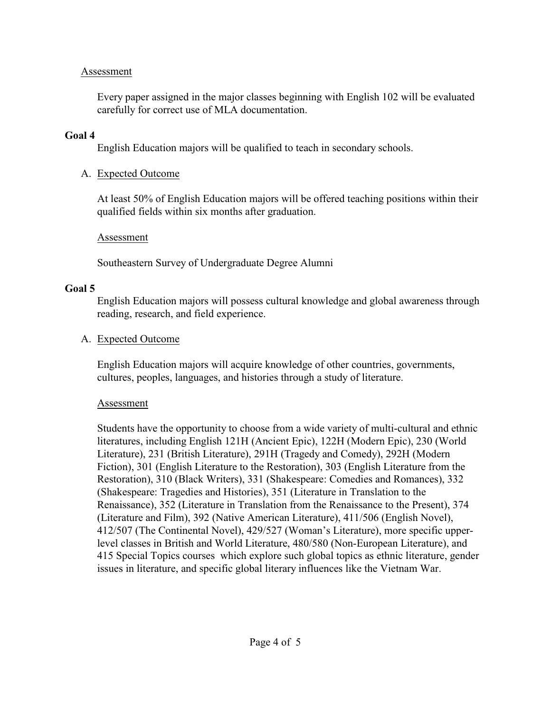#### Assessment

Every paper assigned in the major classes beginning with English 102 will be evaluated carefully for correct use of MLA documentation.

#### **Goal 4**

English Education majors will be qualified to teach in secondary schools.

# A. Expected Outcome

At least 50% of English Education majors will be offered teaching positions within their qualified fields within six months after graduation.

## Assessment

Southeastern Survey of Undergraduate Degree Alumni

# **Goal 5**

English Education majors will possess cultural knowledge and global awareness through reading, research, and field experience.

# A. Expected Outcome

English Education majors will acquire knowledge of other countries, governments, cultures, peoples, languages, and histories through a study of literature.

## Assessment

Students have the opportunity to choose from a wide variety of multi-cultural and ethnic literatures, including English 121H (Ancient Epic), 122H (Modern Epic), 230 (World Literature), 231 (British Literature), 291H (Tragedy and Comedy), 292H (Modern Fiction), 301 (English Literature to the Restoration), 303 (English Literature from the Restoration), 310 (Black Writers), 331 (Shakespeare: Comedies and Romances), 332 (Shakespeare: Tragedies and Histories), 351 (Literature in Translation to the Renaissance), 352 (Literature in Translation from the Renaissance to the Present), 374 (Literature and Film), 392 (Native American Literature), 411/506 (English Novel), 412/507 (The Continental Novel), 429/527 (Woman's Literature), more specific upperlevel classes in British and World Literature, 480/580 (Non-European Literature), and 415 Special Topics courses which explore such global topics as ethnic literature, gender issues in literature, and specific global literary influences like the Vietnam War.